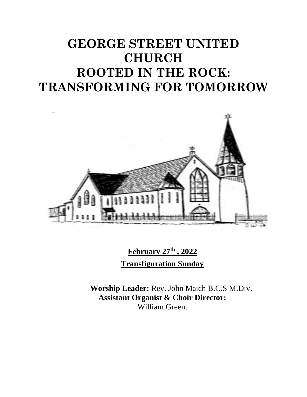# **GEORGE STREET UNITED CHURCH ROOTED IN THE ROCK: TRANSFORMING FOR TOMORROW**



**February 27 th , 2022 Transfiguration Sunday**

**Worship Leader:** Rev. John Maich B.C.S M.Div. **Assistant Organist & Choir Director:**  William Green.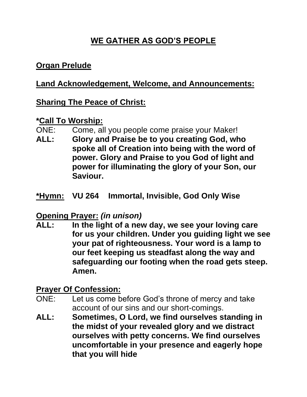# **WE GATHER AS GOD'S PEOPLE**

## **Organ Prelude**

## **Land Acknowledgement, Welcome, and Announcements:**

## **Sharing The Peace of Christ:**

#### **\*Call To Worship:**

- ONE: Come, all you people come praise your Maker!
- **ALL: Glory and Praise be to you creating God, who spoke all of Creation into being with the word of power. Glory and Praise to you God of light and power for illuminating the glory of your Son, our Saviour.**
- **\*Hymn: VU 264 Immortal, Invisible, God Only Wise**

### **Opening Prayer:** *(in unison)*

**ALL: In the light of a new day, we see your loving care for us your children. Under you guiding light we see your pat of righteousness. Your word is a lamp to our feet keeping us steadfast along the way and safeguarding our footing when the road gets steep. Amen.**

## **Prayer Of Confession:**

- ONE: Let us come before God's throne of mercy and take account of our sins and our short-comings.
- **ALL: Sometimes, O Lord, we find ourselves standing in the midst of your revealed glory and we distract ourselves with petty concerns. We find ourselves uncomfortable in your presence and eagerly hope that you will hide**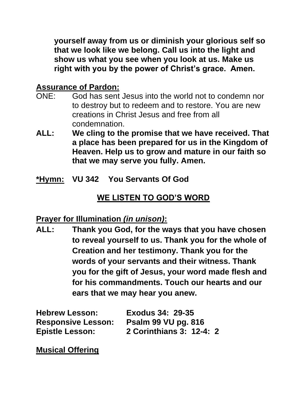**yourself away from us or diminish your glorious self so that we look like we belong. Call us into the light and show us what you see when you look at us. Make us right with you by the power of Christ's grace. Amen.**

## **Assurance of Pardon:**

- ONE: God has sent Jesus into the world not to condemn nor to destroy but to redeem and to restore. You are new creations in Christ Jesus and free from all condemnation.
- **ALL: We cling to the promise that we have received. That a place has been prepared for us in the Kingdom of Heaven. Help us to grow and mature in our faith so that we may serve you fully. Amen.**
- **\*Hymn: VU 342 You Servants Of God**

## **WE LISTEN TO GOD'S WORD**

### **Prayer for Illumination** *(in unison)***:**

**ALL: Thank you God, for the ways that you have chosen to reveal yourself to us. Thank you for the whole of Creation and her testimony. Thank you for the words of your servants and their witness. Thank you for the gift of Jesus, your word made flesh and for his commandments. Touch our hearts and our ears that we may hear you anew.**

| <b>Hebrew Lesson:</b>     | <b>Exodus 34: 29-35</b>    |
|---------------------------|----------------------------|
| <b>Responsive Lesson:</b> | <b>Psalm 99 VU pg. 816</b> |
| <b>Epistle Lesson:</b>    | 2 Corinthians 3: 12-4: 2   |

**Musical Offering**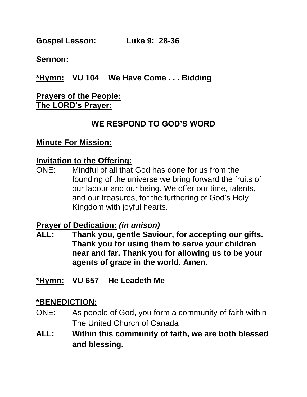**Gospel Lesson: Luke 9: 28-36**

**Sermon:**

**\*Hymn: VU 104 We Have Come . . . Bidding**

## **Prayers of the People: The LORD's Prayer:**

## **WE RESPOND TO GOD'S WORD**

#### **Minute For Mission:**

#### **Invitation to the Offering:**

ONE: Mindful of all that God has done for us from the founding of the universe we bring forward the fruits of our labour and our being. We offer our time, talents, and our treasures, for the furthering of God's Holy Kingdom with joyful hearts.

### **Prayer of Dedication:** *(in unison)*

- **ALL: Thank you, gentle Saviour, for accepting our gifts. Thank you for using them to serve your children near and far. Thank you for allowing us to be your agents of grace in the world. Amen.**
- **\*Hymn: VU 657 He Leadeth Me**

## **\*BENEDICTION:**

- ONE: As people of God, you form a community of faith within The United Church of Canada
- **ALL: Within this community of faith, we are both blessed and blessing.**